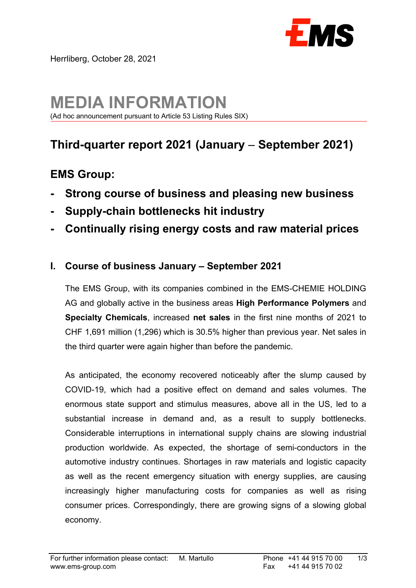

# **MEDIA INFORMATION**

(Ad hoc announcement pursuant to Article 53 Listing Rules SIX)

## **Third-quarter report 2021 (January** – **September 2021)**

### **EMS Group:**

- **Strong course of business and pleasing new business**
- **Supply-chain bottlenecks hit industry**
- **Continually rising energy costs and raw material prices**

#### **I. Course of business January – September 2021**

 The EMS Group, with its companies combined in the EMS-CHEMIE HOLDING AG and globally active in the business areas **High Performance Polymers** and **Specialty Chemicals**, increased **net sales** in the first nine months of 2021 to CHF 1,691 million (1,296) which is 30.5% higher than previous year. Net sales in the third quarter were again higher than before the pandemic.

 As anticipated, the economy recovered noticeably after the slump caused by COVID-19, which had a positive effect on demand and sales volumes. The enormous state support and stimulus measures, above all in the US, led to a substantial increase in demand and, as a result to supply bottlenecks. Considerable interruptions in international supply chains are slowing industrial production worldwide. As expected, the shortage of semi-conductors in the automotive industry continues. Shortages in raw materials and logistic capacity as well as the recent emergency situation with energy supplies, are causing increasingly higher manufacturing costs for companies as well as rising consumer prices. Correspondingly, there are growing signs of a slowing global economy.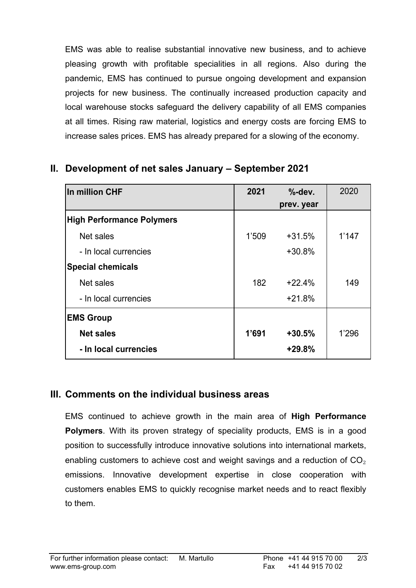EMS was able to realise substantial innovative new business, and to achieve pleasing growth with profitable specialities in all regions. Also during the pandemic, EMS has continued to pursue ongoing development and expansion projects for new business. The continually increased production capacity and local warehouse stocks safeguard the delivery capability of all EMS companies at all times. Rising raw material, logistics and energy costs are forcing EMS to increase sales prices. EMS has already prepared for a slowing of the economy.

#### **II. Development of net sales January – September 2021**

| In million CHF                   | 2021  | $% -dev.$ | 2020  |
|----------------------------------|-------|-----------|-------|
|                                  |       |           |       |
| <b>High Performance Polymers</b> |       |           |       |
| Net sales                        | 1'509 | $+31.5%$  | 1'147 |
| - In local currencies            |       | $+30.8%$  |       |
| <b>Special chemicals</b>         |       |           |       |
| Net sales                        | 182   | $+22.4%$  | 149   |
| - In local currencies            |       | $+21.8%$  |       |
| <b>EMS Group</b>                 |       |           |       |
| <b>Net sales</b>                 | 1'691 | $+30.5%$  | 1'296 |
| - In local currencies            |       | $+29.8%$  |       |

#### **III. Comments on the individual business areas**

 EMS continued to achieve growth in the main area of **High Performance Polymers**. With its proven strategy of speciality products, EMS is in a good position to successfully introduce innovative solutions into international markets, enabling customers to achieve cost and weight savings and a reduction of  $CO<sub>2</sub>$ emissions. Innovative development expertise in close cooperation with customers enables EMS to quickly recognise market needs and to react flexibly to them.